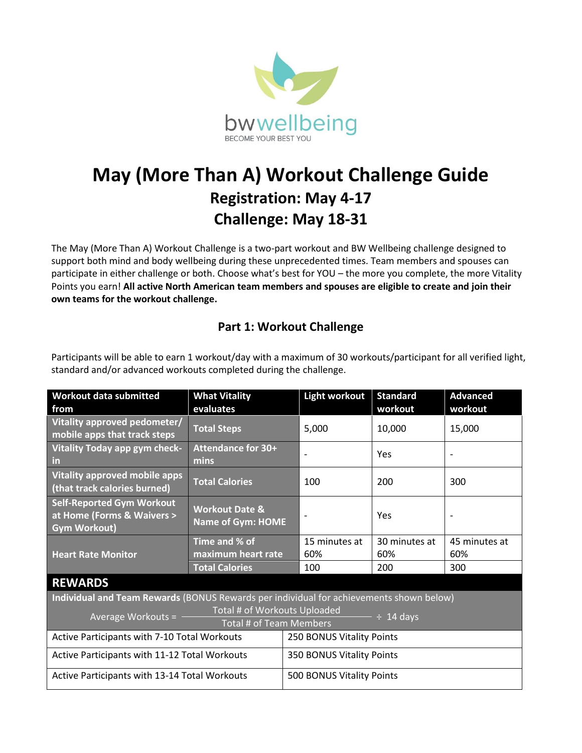

## **May (More Than A) Workout Challenge Guide Registration: May 4-17 Challenge: May 18-31**

The May (More Than A) Workout Challenge is a two-part workout and BW Wellbeing challenge designed to support both mind and body wellbeing during these unprecedented times. Team members and spouses can participate in either challenge or both. Choose what's best for YOU – the more you complete, the more Vitality Points you earn! **All active North American team members and spouses are eligible to create and join their own teams for the workout challenge.**

## **Part 1: Workout Challenge**

| <b>Workout data submitted</b>                                                           | <b>What Vitality</b>                                  |  | <b>Light workout</b>      | <b>Standard</b> | <b>Advanced</b> |  |
|-----------------------------------------------------------------------------------------|-------------------------------------------------------|--|---------------------------|-----------------|-----------------|--|
| from                                                                                    | evaluates                                             |  |                           | workout         | workout         |  |
| Vitality approved pedometer/<br>mobile apps that track steps                            | <b>Total Steps</b>                                    |  | 5,000                     | 10,000          | 15,000          |  |
| Vitality Today app gym check-<br>$\mathsf{in}$                                          | <b>Attendance for 30+</b><br>mins                     |  |                           | Yes             |                 |  |
| Vitality approved mobile apps<br>(that track calories burned)                           | <b>Total Calories</b>                                 |  | 100                       | 200             | 300             |  |
| <b>Self-Reported Gym Workout</b><br>at Home (Forms & Waivers ><br><b>Gym Workout)</b>   | <b>Workout Date &amp;</b><br><b>Name of Gym: HOME</b> |  |                           | Yes             |                 |  |
| <b>Heart Rate Monitor</b>                                                               | Time and % of                                         |  | 15 minutes at             | 30 minutes at   | 45 minutes at   |  |
|                                                                                         | maximum heart rate                                    |  | 60%                       | 60%             | 60%             |  |
|                                                                                         | <b>Total Calories</b>                                 |  | 100                       | 200             | 300             |  |
| <b>REWARDS</b>                                                                          |                                                       |  |                           |                 |                 |  |
| Individual and Team Rewards (BONUS Rewards per individual for achievements shown below) |                                                       |  |                           |                 |                 |  |
| Total # of Workouts Uploaded<br>Average Workouts = -                                    |                                                       |  | $\div$ 14 days            |                 |                 |  |
| Total # of Team Members                                                                 |                                                       |  |                           |                 |                 |  |
| Active Participants with 7-10 Total Workouts                                            |                                                       |  | 250 BONUS Vitality Points |                 |                 |  |
| Active Participants with 11-12 Total Workouts                                           |                                                       |  | 350 BONUS Vitality Points |                 |                 |  |
| Active Participants with 13-14 Total Workouts                                           |                                                       |  | 500 BONUS Vitality Points |                 |                 |  |

Participants will be able to earn 1 workout/day with a maximum of 30 workouts/participant for all verified light, standard and/or advanced workouts completed during the challenge.